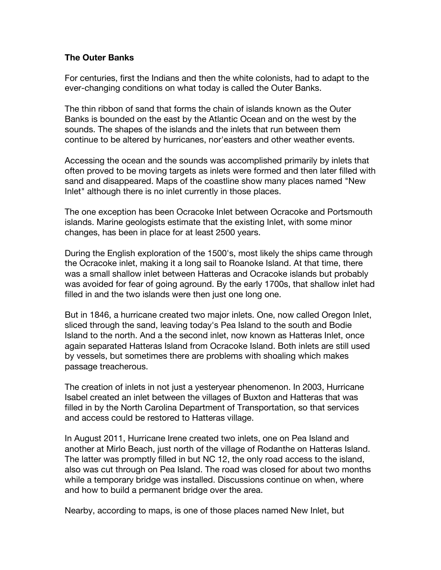## **The Outer Banks**

For centuries, first the Indians and then the white colonists, had to adapt to the ever-changing conditions on what today is called the Outer Banks.

The thin ribbon of sand that forms the chain of islands known as the Outer Banks is bounded on the east by the Atlantic Ocean and on the west by the sounds. The shapes of the islands and the inlets that run between them continue to be altered by hurricanes, nor'easters and other weather events.

Accessing the ocean and the sounds was accomplished primarily by inlets that often proved to be moving targets as inlets were formed and then later filled with sand and disappeared. Maps of the coastline show many places named "New Inlet" although there is no inlet currently in those places.

The one exception has been Ocracoke Inlet between Ocracoke and Portsmouth islands. Marine geologists estimate that the existing Inlet, with some minor changes, has been in place for at least 2500 years.

During the English exploration of the 1500's, most likely the ships came through the Ocracoke inlet, making it a long sail to Roanoke Island. At that time, there was a small shallow inlet between Hatteras and Ocracoke islands but probably was avoided for fear of going aground. By the early 1700s, that shallow inlet had filled in and the two islands were then just one long one.

But in 1846, a hurricane created two major inlets. One, now called Oregon Inlet, sliced through the sand, leaving today's Pea Island to the south and Bodie Island to the north. And a the second inlet, now known as Hatteras Inlet, once again separated Hatteras Island from Ocracoke Island. Both inlets are still used by vessels, but sometimes there are problems with shoaling which makes passage treacherous.

The creation of inlets in not just a yesteryear phenomenon. In 2003, Hurricane Isabel created an inlet between the villages of Buxton and Hatteras that was filled in by the North Carolina Department of Transportation, so that services and access could be restored to Hatteras village.

In August 2011, Hurricane Irene created two inlets, one on Pea Island and another at Mirlo Beach, just north of the village of Rodanthe on Hatteras Island. The latter was promptly filled in but NC 12, the only road access to the island, also was cut through on Pea Island. The road was closed for about two months while a temporary bridge was installed. Discussions continue on when, where and how to build a permanent bridge over the area.

Nearby, according to maps, is one of those places named New Inlet, but